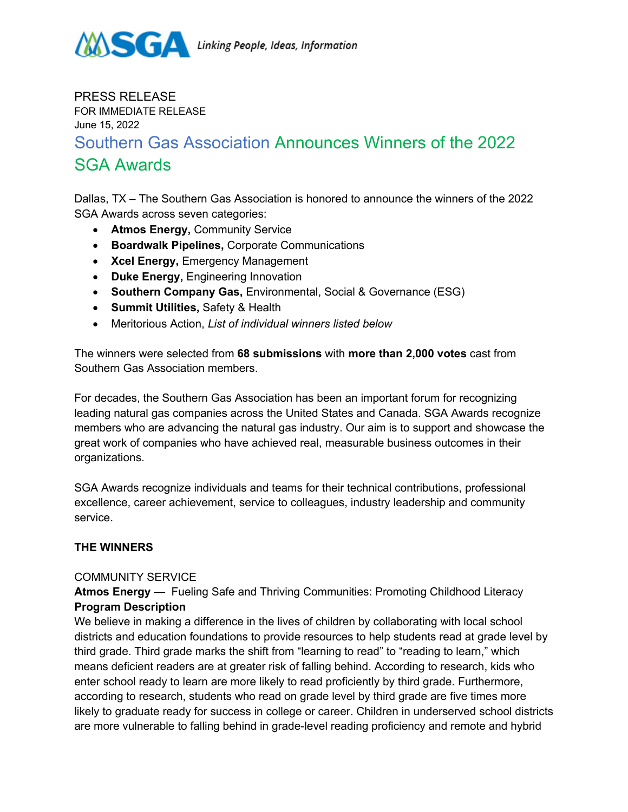

## PRESS RELEASE FOR IMMEDIATE RELEASE June 15, 2022 Southern Gas Association Announces Winners of the 2022 SGA Awards

Dallas, TX – The Southern Gas Association is honored to announce the winners of the 2022 SGA Awards across seven categories:

- **Atmos Energy,** Community Service
- **Boardwalk Pipelines,** Corporate Communications
- **Xcel Energy,** Emergency Management
- **Duke Energy,** Engineering Innovation
- **Southern Company Gas,** Environmental, Social & Governance (ESG)
- **Summit Utilities,** Safety & Health
- Meritorious Action, *List of individual winners listed below*

The winners were selected from **68 submissions** with **more than 2,000 votes** cast from Southern Gas Association members.

For decades, the Southern Gas Association has been an important forum for recognizing leading natural gas companies across the United States and Canada. SGA Awards recognize members who are advancing the natural gas industry. Our aim is to support and showcase the great work of companies who have achieved real, measurable business outcomes in their organizations.

SGA Awards recognize individuals and teams for their technical contributions, professional excellence, career achievement, service to colleagues, industry leadership and community service.

## **THE WINNERS**

#### COMMUNITY SERVICE

**Atmos Energy** — Fueling Safe and Thriving Communities: Promoting Childhood Literacy **Program Description**

We believe in making a difference in the lives of children by collaborating with local school districts and education foundations to provide resources to help students read at grade level by third grade. Third grade marks the shift from "learning to read" to "reading to learn," which means deficient readers are at greater risk of falling behind. According to research, kids who enter school ready to learn are more likely to read proficiently by third grade. Furthermore, according to research, students who read on grade level by third grade are five times more likely to graduate ready for success in college or career. Children in underserved school districts are more vulnerable to falling behind in grade-level reading proficiency and remote and hybrid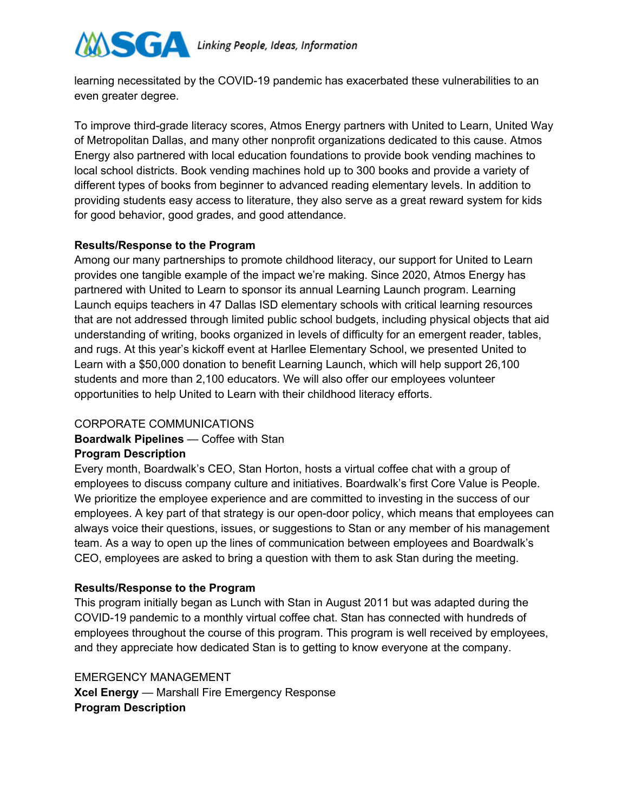

learning necessitated by the COVID-19 pandemic has exacerbated these vulnerabilities to an even greater degree.

To improve third-grade literacy scores, Atmos Energy partners with United to Learn, United Way of Metropolitan Dallas, and many other nonprofit organizations dedicated to this cause. Atmos Energy also partnered with local education foundations to provide book vending machines to local school districts. Book vending machines hold up to 300 books and provide a variety of different types of books from beginner to advanced reading elementary levels. In addition to providing students easy access to literature, they also serve as a great reward system for kids for good behavior, good grades, and good attendance.

#### **Results/Response to the Program**

Among our many partnerships to promote childhood literacy, our support for United to Learn provides one tangible example of the impact we're making. Since 2020, Atmos Energy has partnered with United to Learn to sponsor its annual Learning Launch program. Learning Launch equips teachers in 47 Dallas ISD elementary schools with critical learning resources that are not addressed through limited public school budgets, including physical objects that aid understanding of writing, books organized in levels of difficulty for an emergent reader, tables, and rugs. At this year's kickoff event at Harllee Elementary School, we presented United to Learn with a \$50,000 donation to benefit Learning Launch, which will help support 26,100 students and more than 2,100 educators. We will also offer our employees volunteer opportunities to help United to Learn with their childhood literacy efforts.

## CORPORATE COMMUNICATIONS

# **Boardwalk Pipelines** — Coffee with Stan

#### **Program Description**

Every month, Boardwalk's CEO, Stan Horton, hosts a virtual coffee chat with a group of employees to discuss company culture and initiatives. Boardwalk's first Core Value is People. We prioritize the employee experience and are committed to investing in the success of our employees. A key part of that strategy is our open-door policy, which means that employees can always voice their questions, issues, or suggestions to Stan or any member of his management team. As a way to open up the lines of communication between employees and Boardwalk's CEO, employees are asked to bring a question with them to ask Stan during the meeting.

#### **Results/Response to the Program**

This program initially began as Lunch with Stan in August 2011 but was adapted during the COVID-19 pandemic to a monthly virtual coffee chat. Stan has connected with hundreds of employees throughout the course of this program. This program is well received by employees, and they appreciate how dedicated Stan is to getting to know everyone at the company.

EMERGENCY MANAGEMENT **Xcel Energy** — Marshall Fire Emergency Response **Program Description**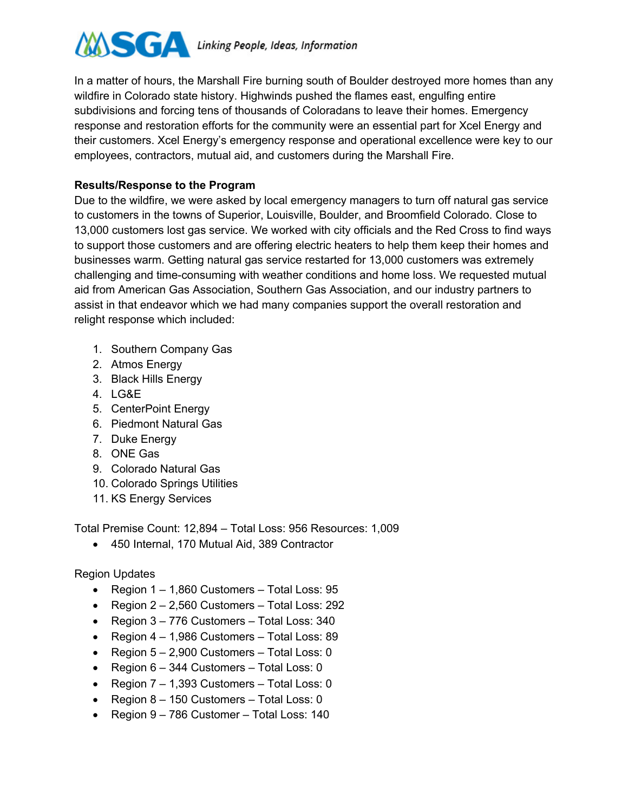

In a matter of hours, the Marshall Fire burning south of Boulder destroyed more homes than any wildfire in Colorado state history. Highwinds pushed the flames east, engulfing entire subdivisions and forcing tens of thousands of Coloradans to leave their homes. Emergency response and restoration efforts for the community were an essential part for Xcel Energy and their customers. Xcel Energy's emergency response and operational excellence were key to our employees, contractors, mutual aid, and customers during the Marshall Fire.

### **Results/Response to the Program**

Due to the wildfire, we were asked by local emergency managers to turn off natural gas service to customers in the towns of Superior, Louisville, Boulder, and Broomfield Colorado. Close to 13,000 customers lost gas service. We worked with city officials and the Red Cross to find ways to support those customers and are offering electric heaters to help them keep their homes and businesses warm. Getting natural gas service restarted for 13,000 customers was extremely challenging and time-consuming with weather conditions and home loss. We requested mutual aid from American Gas Association, Southern Gas Association, and our industry partners to assist in that endeavor which we had many companies support the overall restoration and relight response which included:

- 1. Southern Company Gas
- 2. Atmos Energy
- 3. Black Hills Energy
- 4. LG&E
- 5. CenterPoint Energy
- 6. Piedmont Natural Gas
- 7. Duke Energy
- 8. ONE Gas
- 9. Colorado Natural Gas
- 10. Colorado Springs Utilities
- 11. KS Energy Services

Total Premise Count: 12,894 – Total Loss: 956 Resources: 1,009

• 450 Internal, 170 Mutual Aid, 389 Contractor

Region Updates

- Region 1 1,860 Customers Total Loss: 95
- Region 2 2,560 Customers Total Loss: 292
- Region 3 776 Customers Total Loss: 340
- Region 4 1,986 Customers Total Loss: 89
- Region 5 2,900 Customers Total Loss: 0
- Region 6 344 Customers Total Loss: 0
- Region 7 1,393 Customers Total Loss: 0
- Region 8 150 Customers Total Loss: 0
- Region 9 786 Customer Total Loss: 140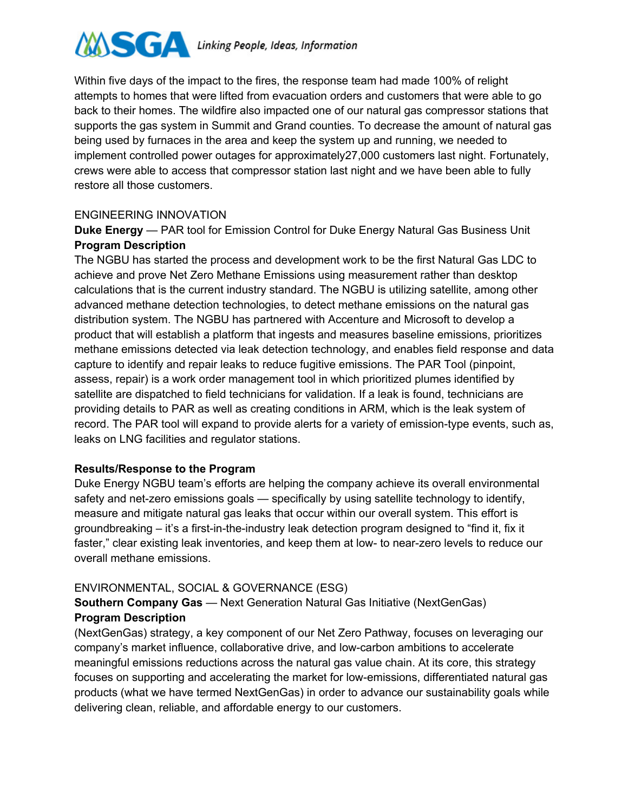

Within five days of the impact to the fires, the response team had made 100% of relight attempts to homes that were lifted from evacuation orders and customers that were able to go back to their homes. The wildfire also impacted one of our natural gas compressor stations that supports the gas system in Summit and Grand counties. To decrease the amount of natural gas being used by furnaces in the area and keep the system up and running, we needed to implement controlled power outages for approximately27,000 customers last night. Fortunately, crews were able to access that compressor station last night and we have been able to fully restore all those customers.

#### ENGINEERING INNOVATION

**Duke Energy** — PAR tool for Emission Control for Duke Energy Natural Gas Business Unit **Program Description**

The NGBU has started the process and development work to be the first Natural Gas LDC to achieve and prove Net Zero Methane Emissions using measurement rather than desktop calculations that is the current industry standard. The NGBU is utilizing satellite, among other advanced methane detection technologies, to detect methane emissions on the natural gas distribution system. The NGBU has partnered with Accenture and Microsoft to develop a product that will establish a platform that ingests and measures baseline emissions, prioritizes methane emissions detected via leak detection technology, and enables field response and data capture to identify and repair leaks to reduce fugitive emissions. The PAR Tool (pinpoint, assess, repair) is a work order management tool in which prioritized plumes identified by satellite are dispatched to field technicians for validation. If a leak is found, technicians are providing details to PAR as well as creating conditions in ARM, which is the leak system of record. The PAR tool will expand to provide alerts for a variety of emission-type events, such as, leaks on LNG facilities and regulator stations.

#### **Results/Response to the Program**

Duke Energy NGBU team's efforts are helping the company achieve its overall environmental safety and net-zero emissions goals — specifically by using satellite technology to identify, measure and mitigate natural gas leaks that occur within our overall system. This effort is groundbreaking – it's a first-in-the-industry leak detection program designed to "find it, fix it faster," clear existing leak inventories, and keep them at low- to near-zero levels to reduce our overall methane emissions.

#### ENVIRONMENTAL, SOCIAL & GOVERNANCE (ESG)

**Southern Company Gas** — Next Generation Natural Gas Initiative (NextGenGas) **Program Description**

(NextGenGas) strategy, a key component of our Net Zero Pathway, focuses on leveraging our company's market influence, collaborative drive, and low-carbon ambitions to accelerate meaningful emissions reductions across the natural gas value chain. At its core, this strategy focuses on supporting and accelerating the market for low-emissions, differentiated natural gas products (what we have termed NextGenGas) in order to advance our sustainability goals while delivering clean, reliable, and affordable energy to our customers.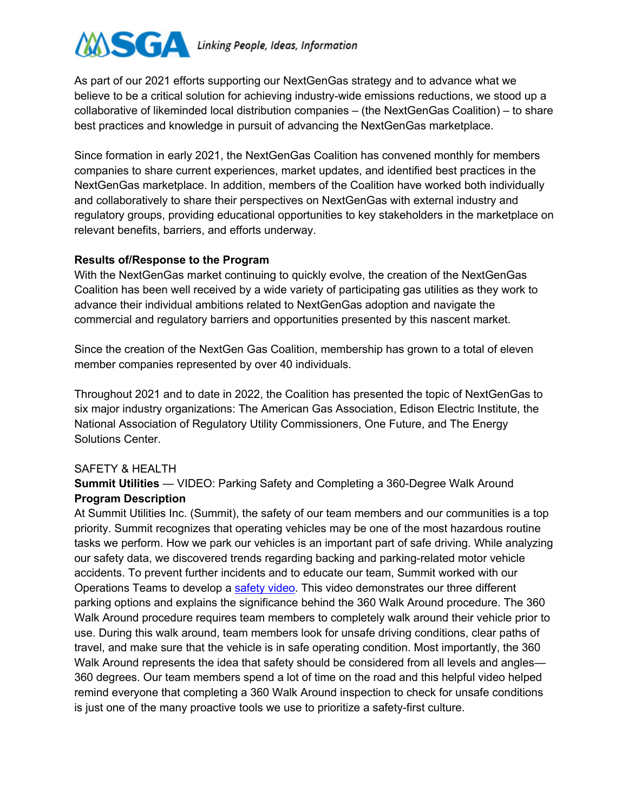

As part of our 2021 efforts supporting our NextGenGas strategy and to advance what we believe to be a critical solution for achieving industry-wide emissions reductions, we stood up a collaborative of likeminded local distribution companies – (the NextGenGas Coalition) – to share best practices and knowledge in pursuit of advancing the NextGenGas marketplace.

Since formation in early 2021, the NextGenGas Coalition has convened monthly for members companies to share current experiences, market updates, and identified best practices in the NextGenGas marketplace. In addition, members of the Coalition have worked both individually and collaboratively to share their perspectives on NextGenGas with external industry and regulatory groups, providing educational opportunities to key stakeholders in the marketplace on relevant benefits, barriers, and efforts underway.

#### **Results of/Response to the Program**

With the NextGenGas market continuing to quickly evolve, the creation of the NextGenGas Coalition has been well received by a wide variety of participating gas utilities as they work to advance their individual ambitions related to NextGenGas adoption and navigate the commercial and regulatory barriers and opportunities presented by this nascent market.

Since the creation of the NextGen Gas Coalition, membership has grown to a total of eleven member companies represented by over 40 individuals.

Throughout 2021 and to date in 2022, the Coalition has presented the topic of NextGenGas to six major industry organizations: The American Gas Association, Edison Electric Institute, the National Association of Regulatory Utility Commissioners, One Future, and The Energy Solutions Center.

## SAFETY & HEALTH

## **Summit Utilities** — VIDEO: Parking Safety and Completing a 360-Degree Walk Around **Program Description**

At Summit Utilities Inc. (Summit), the safety of our team members and our communities is a top priority. Summit recognizes that operating vehicles may be one of the most hazardous routine tasks we perform. How we park our vehicles is an important part of safe driving. While analyzing our safety data, we discovered trends regarding backing and parking-related motor vehicle accidents. To prevent further incidents and to educate our team, Summit worked with our Operations Teams to develop a safety video. This video demonstrates our three different parking options and explains the significance behind the 360 Walk Around procedure. The 360 Walk Around procedure requires team members to completely walk around their vehicle prior to use. During this walk around, team members look for unsafe driving conditions, clear paths of travel, and make sure that the vehicle is in safe operating condition. Most importantly, the 360 Walk Around represents the idea that safety should be considered from all levels and angles— 360 degrees. Our team members spend a lot of time on the road and this helpful video helped remind everyone that completing a 360 Walk Around inspection to check for unsafe conditions is just one of the many proactive tools we use to prioritize a safety-first culture.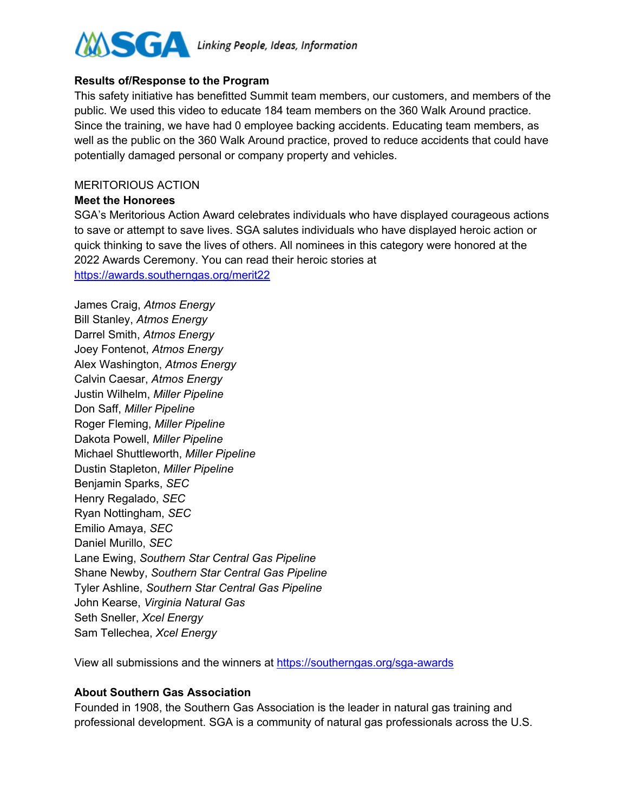

#### **Results of/Response to the Program**

This safety initiative has benefitted Summit team members, our customers, and members of the public. We used this video to educate 184 team members on the 360 Walk Around practice. Since the training, we have had 0 employee backing accidents. Educating team members, as well as the public on the 360 Walk Around practice, proved to reduce accidents that could have potentially damaged personal or company property and vehicles.

#### MERITORIOUS ACTION

#### **Meet the Honorees**

SGA's Meritorious Action Award celebrates individuals who have displayed courageous actions to save or attempt to save lives. SGA salutes individuals who have displayed heroic action or quick thinking to save the lives of others. All nominees in this category were honored at the 2022 Awards Ceremony. You can read their heroic stories at https://awards.southerngas.org/merit22

James Craig, *Atmos Energy* Bill Stanley, *Atmos Energy* Darrel Smith, *Atmos Energy* Joey Fontenot, *Atmos Energy* Alex Washington, *Atmos Energy* Calvin Caesar, *Atmos Energy* Justin Wilhelm, *Miller Pipeline* Don Saff, *Miller Pipeline* Roger Fleming, *Miller Pipeline* Dakota Powell, *Miller Pipeline* Michael Shuttleworth, *Miller Pipeline* Dustin Stapleton, *Miller Pipeline* Benjamin Sparks, *SEC* Henry Regalado, *SEC* Ryan Nottingham, *SEC* Emilio Amaya, *SEC* Daniel Murillo, *SEC* Lane Ewing, *Southern Star Central Gas Pipeline* Shane Newby, *Southern Star Central Gas Pipeline* Tyler Ashline, *Southern Star Central Gas Pipeline* John Kearse, *Virginia Natural Gas* Seth Sneller, *Xcel Energy* Sam Tellechea, *Xcel Energy*

View all submissions and the winners at https://southerngas.org/sga-awards

#### **About Southern Gas Association**

Founded in 1908, the Southern Gas Association is the leader in natural gas training and professional development. SGA is a community of natural gas professionals across the U.S.